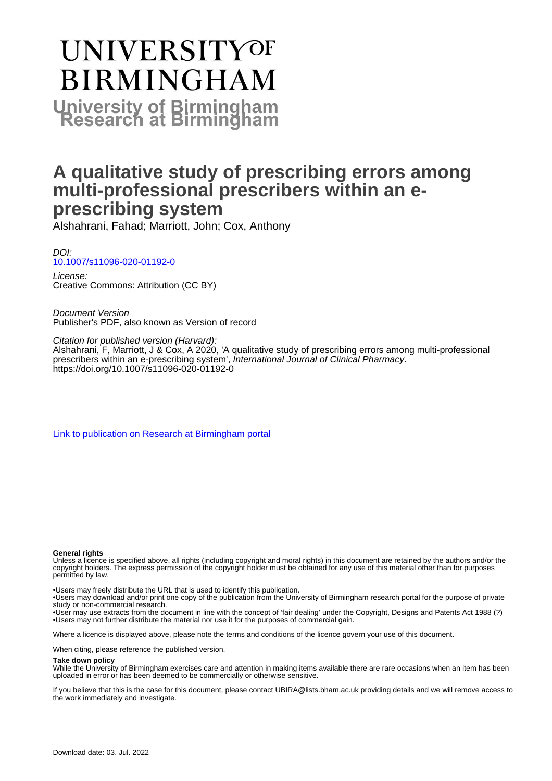# **UNIVERSITYOF BIRMINGHAM University of Birmingham**

# **A qualitative study of prescribing errors among multi-professional prescribers within an eprescribing system**

Alshahrani, Fahad; Marriott, John; Cox, Anthony

DOI: [10.1007/s11096-020-01192-0](https://doi.org/10.1007/s11096-020-01192-0)

License: Creative Commons: Attribution (CC BY)

Document Version Publisher's PDF, also known as Version of record

Citation for published version (Harvard): Alshahrani, F, Marriott, J & Cox, A 2020, 'A qualitative study of prescribing errors among multi-professional prescribers within an e-prescribing system', International Journal of Clinical Pharmacy. <https://doi.org/10.1007/s11096-020-01192-0>

[Link to publication on Research at Birmingham portal](https://birmingham.elsevierpure.com/en/publications/2b7c4cf0-ac85-44fe-8f73-f3bf1552e181)

#### **General rights**

Unless a licence is specified above, all rights (including copyright and moral rights) in this document are retained by the authors and/or the copyright holders. The express permission of the copyright holder must be obtained for any use of this material other than for purposes permitted by law.

• Users may freely distribute the URL that is used to identify this publication.

• Users may download and/or print one copy of the publication from the University of Birmingham research portal for the purpose of private study or non-commercial research.

• User may use extracts from the document in line with the concept of 'fair dealing' under the Copyright, Designs and Patents Act 1988 (?) • Users may not further distribute the material nor use it for the purposes of commercial gain.

Where a licence is displayed above, please note the terms and conditions of the licence govern your use of this document.

When citing, please reference the published version.

#### **Take down policy**

While the University of Birmingham exercises care and attention in making items available there are rare occasions when an item has been uploaded in error or has been deemed to be commercially or otherwise sensitive.

If you believe that this is the case for this document, please contact UBIRA@lists.bham.ac.uk providing details and we will remove access to the work immediately and investigate.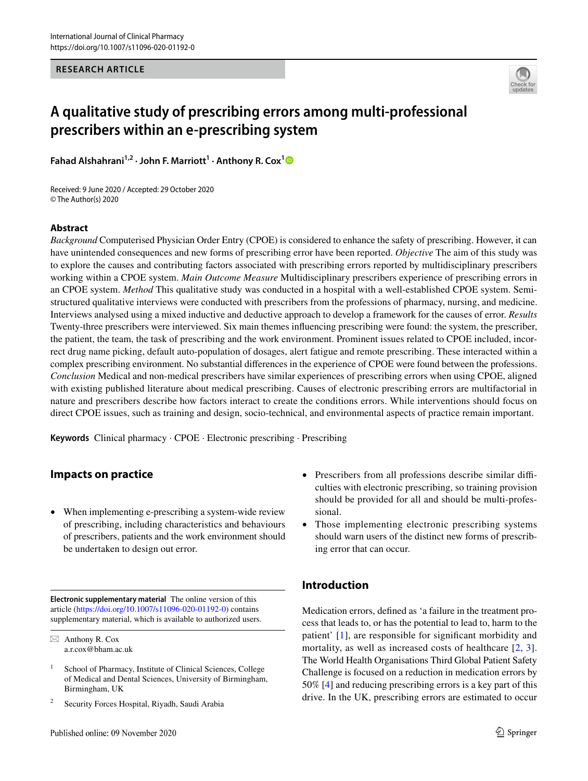#### **RESEARCH ARTICLE**



# **A qualitative study of prescribing errors among multi‑professional prescribers within an e‑prescribing system**

Fahad Alshahrani<sup>[1](http://orcid.org/0000-0003-2294-3440),2</sup> · John F. Marriott<sup>1</sup> · Anthony R. Cox<sup>1</sup>

Received: 9 June 2020 / Accepted: 29 October 2020 © The Author(s) 2020

#### **Abstract**

*Background* Computerised Physician Order Entry (CPOE) is considered to enhance the safety of prescribing. However, it can have unintended consequences and new forms of prescribing error have been reported. *Objective* The aim of this study was to explore the causes and contributing factors associated with prescribing errors reported by multidisciplinary prescribers working within a CPOE system. *Main Outcome Measure* Multidisciplinary prescribers experience of prescribing errors in an CPOE system. *Method* This qualitative study was conducted in a hospital with a well-established CPOE system. Semistructured qualitative interviews were conducted with prescribers from the professions of pharmacy, nursing, and medicine. Interviews analysed using a mixed inductive and deductive approach to develop a framework for the causes of error. *Results* Twenty-three prescribers were interviewed. Six main themes infuencing prescribing were found: the system, the prescriber, the patient, the team, the task of prescribing and the work environment. Prominent issues related to CPOE included, incorrect drug name picking, default auto-population of dosages, alert fatigue and remote prescribing. These interacted within a complex prescribing environment. No substantial diferences in the experience of CPOE were found between the professions. *Conclusion* Medical and non-medical prescribers have similar experiences of prescribing errors when using CPOE, aligned with existing published literature about medical prescribing. Causes of electronic prescribing errors are multifactorial in nature and prescribers describe how factors interact to create the conditions errors. While interventions should focus on direct CPOE issues, such as training and design, socio-technical, and environmental aspects of practice remain important.

**Keywords** Clinical pharmacy · CPOE · Electronic prescribing · Prescribing

# **Impacts on practice**

• When implementing e-prescribing a system-wide review of prescribing, including characteristics and behaviours of prescribers, patients and the work environment should be undertaken to design out error.

**Electronic supplementary material** The online version of this article [\(https://doi.org/10.1007/s11096-020-01192-0\)](https://doi.org/10.1007/s11096-020-01192-0) contains supplementary material, which is available to authorized users.

Security Forces Hospital, Riyadh, Saudi Arabia

- Prescribers from all professions describe similar difficulties with electronic prescribing, so training provision should be provided for all and should be multi-professional.
- Those implementing electronic prescribing systems should warn users of the distinct new forms of prescribing error that can occur.

# **Introduction**

Medication errors, defned as 'a failure in the treatment process that leads to, or has the potential to lead to, harm to the patient' [[1](#page-8-0)], are responsible for signifcant morbidity and mortality, as well as increased costs of healthcare [[2](#page-8-1), [3](#page-8-2)]. The World Health Organisations Third Global Patient Safety Challenge is focused on a reduction in medication errors by 50% [\[4](#page-8-3)] and reducing prescribing errors is a key part of this drive. In the UK, prescribing errors are estimated to occur

 $\boxtimes$  Anthony R. Cox a.r.cox@bham.ac.uk

<sup>&</sup>lt;sup>1</sup> School of Pharmacy, Institute of Clinical Sciences, College of Medical and Dental Sciences, University of Birmingham, Birmingham, UK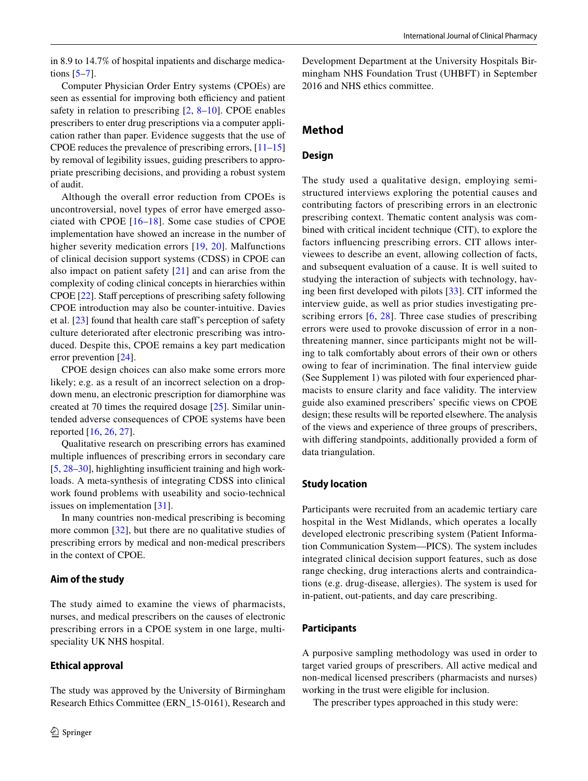in 8.9 to 14.7% of hospital inpatients and discharge medications [[5–](#page-8-4)[7\]](#page-8-5).

Computer Physician Order Entry systems (CPOEs) are seen as essential for improving both efficiency and patient safety in relation to prescribing  $[2, 8-10]$  $[2, 8-10]$  $[2, 8-10]$  $[2, 8-10]$  $[2, 8-10]$  $[2, 8-10]$ . CPOE enables prescribers to enter drug prescriptions via a computer application rather than paper. Evidence suggests that the use of CPOE reduces the prevalence of prescribing errors, [[11–](#page-8-8)[15\]](#page-8-9) by removal of legibility issues, guiding prescribers to appropriate prescribing decisions, and providing a robust system of audit.

Although the overall error reduction from CPOEs is uncontroversial, novel types of error have emerged associated with CPOE [[16](#page-8-10)[–18\]](#page-8-11). Some case studies of CPOE implementation have showed an increase in the number of higher severity medication errors [[19](#page-8-12), [20](#page-8-13)]. Malfunctions of clinical decision support systems (CDSS) in CPOE can also impact on patient safety [[21](#page-8-14)] and can arise from the complexity of coding clinical concepts in hierarchies within CPOE [[22\]](#page-8-15). Staf perceptions of prescribing safety following CPOE introduction may also be counter-intuitive. Davies et al. [\[23\]](#page-8-16) found that health care staf's perception of safety culture deteriorated after electronic prescribing was introduced. Despite this, CPOE remains a key part medication error prevention [[24](#page-8-17)].

CPOE design choices can also make some errors more likely; e.g. as a result of an incorrect selection on a dropdown menu, an electronic prescription for diamorphine was created at 70 times the required dosage [\[25\]](#page-8-18). Similar unintended adverse consequences of CPOE systems have been reported [[16,](#page-8-10) [26,](#page-9-0) [27](#page-9-1)].

Qualitative research on prescribing errors has examined multiple infuences of prescribing errors in secondary care  $[5, 28-30]$  $[5, 28-30]$  $[5, 28-30]$  $[5, 28-30]$ , highlighting insufficient training and high workloads. A meta-synthesis of integrating CDSS into clinical work found problems with useability and socio-technical issues on implementation [[31\]](#page-9-4).

In many countries non-medical prescribing is becoming more common [[32\]](#page-9-5), but there are no qualitative studies of prescribing errors by medical and non-medical prescribers in the context of CPOE.

#### **Aim of the study**

The study aimed to examine the views of pharmacists, nurses, and medical prescribers on the causes of electronic prescribing errors in a CPOE system in one large, multispeciality UK NHS hospital.

The study was approved by the University of Birmingham Research Ethics Committee (ERN\_15-0161), Research and

### **Ethical approval**

Development Department at the University Hospitals Birmingham NHS Foundation Trust (UHBFT) in September 2016 and NHS ethics committee.

# **Method**

# **Design**

The study used a qualitative design, employing semistructured interviews exploring the potential causes and contributing factors of prescribing errors in an electronic prescribing context. Thematic content analysis was combined with critical incident technique (CIT), to explore the factors infuencing prescribing errors. CIT allows interviewees to describe an event, allowing collection of facts, and subsequent evaluation of a cause. It is well suited to studying the interaction of subjects with technology, having been frst developed with pilots [[33\]](#page-9-6). CIT informed the interview guide, as well as prior studies investigating prescribing errors [\[6,](#page-8-19) [28\]](#page-9-2). Three case studies of prescribing errors were used to provoke discussion of error in a nonthreatening manner, since participants might not be willing to talk comfortably about errors of their own or others owing to fear of incrimination. The fnal interview guide (See Supplement 1) was piloted with four experienced pharmacists to ensure clarity and face validity. The interview guide also examined prescribers' specifc views on CPOE design; these results will be reported elsewhere. The analysis of the views and experience of three groups of prescribers, with difering standpoints, additionally provided a form of data triangulation.

### **Study location**

Participants were recruited from an academic tertiary care hospital in the West Midlands, which operates a locally developed electronic prescribing system (Patient Information Communication System—PICS). The system includes integrated clinical decision support features, such as dose range checking, drug interactions alerts and contraindications (e.g. drug-disease, allergies). The system is used for in-patient, out-patients, and day care prescribing.

### **Participants**

A purposive sampling methodology was used in order to target varied groups of prescribers. All active medical and non-medical licensed prescribers (pharmacists and nurses) working in the trust were eligible for inclusion.

The prescriber types approached in this study were: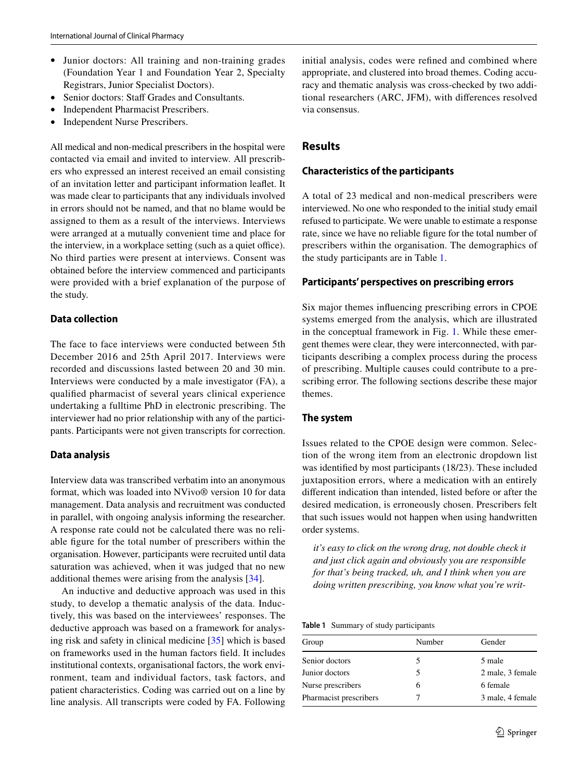- Junior doctors: All training and non-training grades (Foundation Year 1 and Foundation Year 2, Specialty Registrars, Junior Specialist Doctors).
- Senior doctors: Staff Grades and Consultants.
- Independent Pharmacist Prescribers.
- Independent Nurse Prescribers.

All medical and non-medical prescribers in the hospital were contacted via email and invited to interview. All prescribers who expressed an interest received an email consisting of an invitation letter and participant information leafet. It was made clear to participants that any individuals involved in errors should not be named, and that no blame would be assigned to them as a result of the interviews. Interviews were arranged at a mutually convenient time and place for the interview, in a workplace setting (such as a quiet office). No third parties were present at interviews. Consent was obtained before the interview commenced and participants were provided with a brief explanation of the purpose of the study.

# **Data collection**

The face to face interviews were conducted between 5th December 2016 and 25th April 2017. Interviews were recorded and discussions lasted between 20 and 30 min. Interviews were conducted by a male investigator (FA), a qualifed pharmacist of several years clinical experience undertaking a fulltime PhD in electronic prescribing. The interviewer had no prior relationship with any of the participants. Participants were not given transcripts for correction.

#### **Data analysis**

Interview data was transcribed verbatim into an anonymous format, which was loaded into NVivo® version 10 for data management. Data analysis and recruitment was conducted in parallel, with ongoing analysis informing the researcher. A response rate could not be calculated there was no reliable fgure for the total number of prescribers within the organisation. However, participants were recruited until data saturation was achieved, when it was judged that no new additional themes were arising from the analysis [\[34](#page-9-7)].

An inductive and deductive approach was used in this study, to develop a thematic analysis of the data. Inductively, this was based on the interviewees' responses. The deductive approach was based on a framework for analysing risk and safety in clinical medicine [[35\]](#page-9-8) which is based on frameworks used in the human factors feld. It includes institutional contexts, organisational factors, the work environment, team and individual factors, task factors, and patient characteristics. Coding was carried out on a line by line analysis. All transcripts were coded by FA. Following

initial analysis, codes were refned and combined where appropriate, and clustered into broad themes. Coding accuracy and thematic analysis was cross-checked by two additional researchers (ARC, JFM), with diferences resolved via consensus.

# **Results**

#### **Characteristics of the participants**

A total of 23 medical and non-medical prescribers were interviewed. No one who responded to the initial study email refused to participate. We were unable to estimate a response rate, since we have no reliable fgure for the total number of prescribers within the organisation. The demographics of the study participants are in Table [1](#page-3-0).

#### **Participants' perspectives on prescribing errors**

Six major themes infuencing prescribing errors in CPOE systems emerged from the analysis, which are illustrated in the conceptual framework in Fig. [1.](#page-4-0) While these emergent themes were clear, they were interconnected, with participants describing a complex process during the process of prescribing. Multiple causes could contribute to a prescribing error. The following sections describe these major themes.

#### **The system**

Issues related to the CPOE design were common. Selection of the wrong item from an electronic dropdown list was identifed by most participants (18/23). These included juxtaposition errors, where a medication with an entirely diferent indication than intended, listed before or after the desired medication, is erroneously chosen. Prescribers felt that such issues would not happen when using handwritten order systems.

*it's easy to click on the wrong drug, not double check it and just click again and obviously you are responsible for that's being tracked, uh, and I think when you are doing written prescribing, you know what you're writ-*

<span id="page-3-0"></span>

| Group                  | Number | Gender           |
|------------------------|--------|------------------|
| Senior doctors         |        | 5 male           |
| Junior doctors         | 5      | 2 male, 3 female |
| Nurse prescribers      |        | 6 female         |
| Pharmacist prescribers |        | 3 male, 4 female |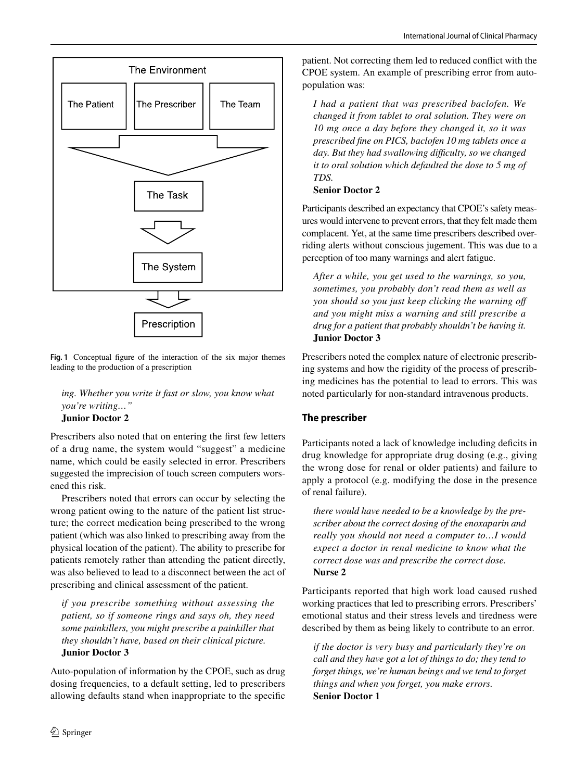

<span id="page-4-0"></span>**Fig. 1** Conceptual fgure of the interaction of the six major themes leading to the production of a prescription

*ing. Whether you write it fast or slow, you know what you're writing…"* **Junior Doctor 2**

Prescribers also noted that on entering the frst few letters of a drug name, the system would "suggest" a medicine name, which could be easily selected in error. Prescribers suggested the imprecision of touch screen computers worsened this risk.

Prescribers noted that errors can occur by selecting the wrong patient owing to the nature of the patient list structure; the correct medication being prescribed to the wrong patient (which was also linked to prescribing away from the physical location of the patient). The ability to prescribe for patients remotely rather than attending the patient directly, was also believed to lead to a disconnect between the act of prescribing and clinical assessment of the patient.

*if you prescribe something without assessing the patient, so if someone rings and says oh, they need some painkillers, you might prescribe a painkiller that they shouldn't have, based on their clinical picture.* **Junior Doctor 3**

Auto-population of information by the CPOE, such as drug dosing frequencies, to a default setting, led to prescribers allowing defaults stand when inappropriate to the specifc patient. Not correcting them led to reduced confict with the CPOE system. An example of prescribing error from autopopulation was:

*I had a patient that was prescribed baclofen. We changed it from tablet to oral solution. They were on 10 mg once a day before they changed it, so it was prescribed fne on PICS, baclofen 10 mg tablets once a day. But they had swallowing difculty, so we changed it to oral solution which defaulted the dose to 5 mg of TDS.*

## **Senior Doctor 2**

Participants described an expectancy that CPOE's safety measures would intervene to prevent errors, that they felt made them complacent. Yet, at the same time prescribers described overriding alerts without conscious jugement. This was due to a perception of too many warnings and alert fatigue.

*After a while, you get used to the warnings, so you, sometimes, you probably don't read them as well as you should so you just keep clicking the warning off and you might miss a warning and still prescribe a drug for a patient that probably shouldn't be having it.* **Junior Doctor 3**

Prescribers noted the complex nature of electronic prescribing systems and how the rigidity of the process of prescribing medicines has the potential to lead to errors. This was noted particularly for non-standard intravenous products.

# **The prescriber**

Participants noted a lack of knowledge including deficits in drug knowledge for appropriate drug dosing (e.g., giving the wrong dose for renal or older patients) and failure to apply a protocol (e.g. modifying the dose in the presence of renal failure).

*there would have needed to be a knowledge by the prescriber about the correct dosing of the enoxaparin and really you should not need a computer to…I would expect a doctor in renal medicine to know what the correct dose was and prescribe the correct dose.* **Nurse 2**

Participants reported that high work load caused rushed working practices that led to prescribing errors. Prescribers' emotional status and their stress levels and tiredness were described by them as being likely to contribute to an error.

*if the doctor is very busy and particularly they're on call and they have got a lot of things to do; they tend to forget things, we're human beings and we tend to forget things and when you forget, you make errors.* **Senior Doctor 1**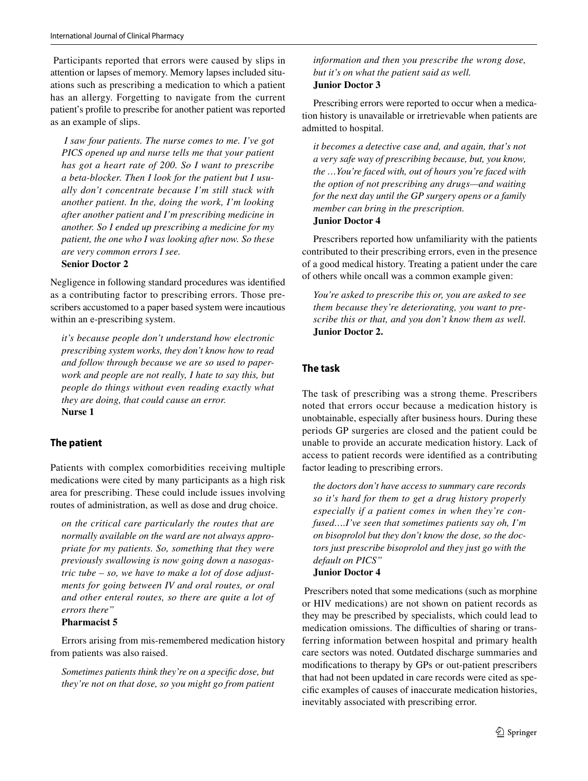Participants reported that errors were caused by slips in attention or lapses of memory. Memory lapses included situations such as prescribing a medication to which a patient has an allergy. Forgetting to navigate from the current patient's profle to prescribe for another patient was reported as an example of slips.

 *I saw four patients. The nurse comes to me. I've got PICS opened up and nurse tells me that your patient has got a heart rate of 200. So I want to prescribe a beta-blocker. Then I look for the patient but I usually don't concentrate because I'm still stuck with another patient. In the, doing the work, I'm looking after another patient and I'm prescribing medicine in another. So I ended up prescribing a medicine for my patient, the one who I was looking after now. So these are very common errors I see.*

#### **Senior Doctor 2**

Negligence in following standard procedures was identifed as a contributing factor to prescribing errors. Those prescribers accustomed to a paper based system were incautious within an e-prescribing system.

*it's because people don't understand how electronic prescribing system works, they don't know how to read and follow through because we are so used to paperwork and people are not really, I hate to say this, but people do things without even reading exactly what they are doing, that could cause an error.* **Nurse 1**

# **The patient**

Patients with complex comorbidities receiving multiple medications were cited by many participants as a high risk area for prescribing. These could include issues involving routes of administration, as well as dose and drug choice.

*on the critical care particularly the routes that are normally available on the ward are not always appropriate for my patients. So, something that they were previously swallowing is now going down a nasogastric tube – so, we have to make a lot of dose adjustments for going between IV and oral routes, or oral and other enteral routes, so there are quite a lot of errors there"*

#### **Pharmacist 5**

Errors arising from mis-remembered medication history from patients was also raised.

*Sometimes patients think they're on a specifc dose, but they're not on that dose, so you might go from patient*  *information and then you prescribe the wrong dose, but it's on what the patient said as well.* **Junior Doctor 3**

Prescribing errors were reported to occur when a medication history is unavailable or irretrievable when patients are admitted to hospital.

*it becomes a detective case and, and again, that's not a very safe way of prescribing because, but, you know, the …You're faced with, out of hours you're faced with the option of not prescribing any drugs—and waiting for the next day until the GP surgery opens or a family member can bring in the prescription.* **Junior Doctor 4**

Prescribers reported how unfamiliarity with the patients contributed to their prescribing errors, even in the presence of a good medical history. Treating a patient under the care of others while oncall was a common example given:

*You're asked to prescribe this or, you are asked to see them because they're deteriorating, you want to prescribe this or that, and you don't know them as well.*  **Junior Doctor 2.**

#### **The task**

The task of prescribing was a strong theme. Prescribers noted that errors occur because a medication history is unobtainable, especially after business hours. During these periods GP surgeries are closed and the patient could be unable to provide an accurate medication history. Lack of access to patient records were identifed as a contributing factor leading to prescribing errors.

*the doctors don't have access to summary care records so it's hard for them to get a drug history properly especially if a patient comes in when they're confused….I've seen that sometimes patients say oh, I'm on bisoprolol but they don't know the dose, so the doctors just prescribe bisoprolol and they just go with the default on PICS"*

#### **Junior Doctor 4**

 Prescribers noted that some medications (such as morphine or HIV medications) are not shown on patient records as they may be prescribed by specialists, which could lead to medication omissions. The difficulties of sharing or transferring information between hospital and primary health care sectors was noted. Outdated discharge summaries and modifcations to therapy by GPs or out-patient prescribers that had not been updated in care records were cited as specifc examples of causes of inaccurate medication histories, inevitably associated with prescribing error.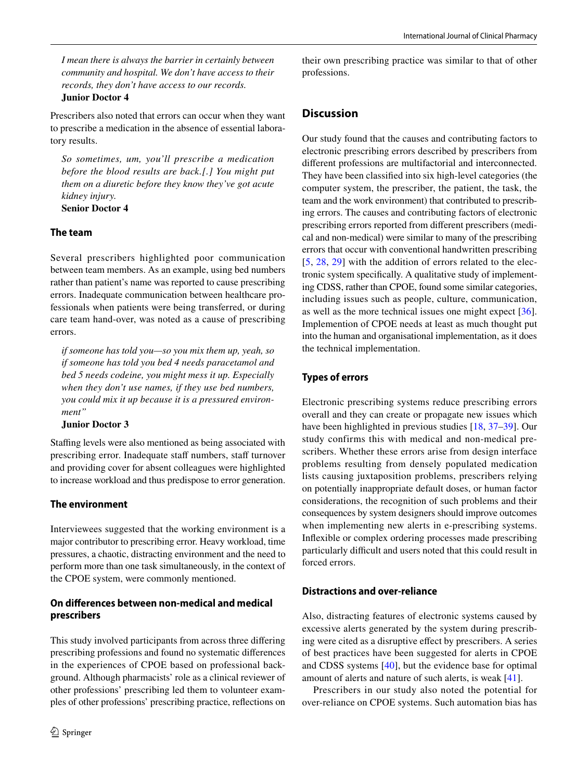*I mean there is always the barrier in certainly between community and hospital. We don't have access to their records, they don't have access to our records.* **Junior Doctor 4**

Prescribers also noted that errors can occur when they want to prescribe a medication in the absence of essential laboratory results.

*So sometimes, um, you'll prescribe a medication before the blood results are back.[.] You might put them on a diuretic before they know they've got acute kidney injury.* **Senior Doctor 4**

# **The team**

Several prescribers highlighted poor communication between team members. As an example, using bed numbers rather than patient's name was reported to cause prescribing errors. Inadequate communication between healthcare professionals when patients were being transferred, or during care team hand-over, was noted as a cause of prescribing errors.

*if someone has told you—so you mix them up, yeah, so if someone has told you bed 4 needs paracetamol and bed 5 needs codeine, you might mess it up. Especially when they don't use names, if they use bed numbers, you could mix it up because it is a pressured environment"*

### **Junior Doctor 3**

Staffing levels were also mentioned as being associated with prescribing error. Inadequate staff numbers, staff turnover and providing cover for absent colleagues were highlighted to increase workload and thus predispose to error generation.

# **The environment**

Interviewees suggested that the working environment is a major contributor to prescribing error. Heavy workload, time pressures, a chaotic, distracting environment and the need to perform more than one task simultaneously, in the context of the CPOE system, were commonly mentioned.

# **On diferences between non‑medical and medical prescribers**

This study involved participants from across three difering prescribing professions and found no systematic diferences in the experiences of CPOE based on professional background. Although pharmacists' role as a clinical reviewer of other professions' prescribing led them to volunteer examples of other professions' prescribing practice, refections on

their own prescribing practice was similar to that of other professions.

# **Discussion**

Our study found that the causes and contributing factors to electronic prescribing errors described by prescribers from diferent professions are multifactorial and interconnected. They have been classifed into six high-level categories (the computer system, the prescriber, the patient, the task, the team and the work environment) that contributed to prescribing errors. The causes and contributing factors of electronic prescribing errors reported from diferent prescribers (medical and non-medical) were similar to many of the prescribing errors that occur with conventional handwritten prescribing [[5,](#page-8-4) [28,](#page-9-2) [29\]](#page-9-9) with the addition of errors related to the electronic system specifcally. A qualitative study of implementing CDSS, rather than CPOE, found some similar categories, including issues such as people, culture, communication, as well as the more technical issues one might expect [\[36](#page-9-10)]. Implemention of CPOE needs at least as much thought put into the human and organisational implementation, as it does the technical implementation.

# **Types of errors**

Electronic prescribing systems reduce prescribing errors overall and they can create or propagate new issues which have been highlighted in previous studies [[18,](#page-8-11) [37–](#page-9-11)[39](#page-9-12)]. Our study confirms this with medical and non-medical prescribers. Whether these errors arise from design interface problems resulting from densely populated medication lists causing juxtaposition problems, prescribers relying on potentially inappropriate default doses, or human factor considerations, the recognition of such problems and their consequences by system designers should improve outcomes when implementing new alerts in e-prescribing systems. Infexible or complex ordering processes made prescribing particularly difficult and users noted that this could result in forced errors.

### **Distractions and over‑reliance**

Also, distracting features of electronic systems caused by excessive alerts generated by the system during prescribing were cited as a disruptive efect by prescribers. A series of best practices have been suggested for alerts in CPOE and CDSS systems [[40\]](#page-9-13), but the evidence base for optimal amount of alerts and nature of such alerts, is weak [[41](#page-9-14)].

Prescribers in our study also noted the potential for over-reliance on CPOE systems. Such automation bias has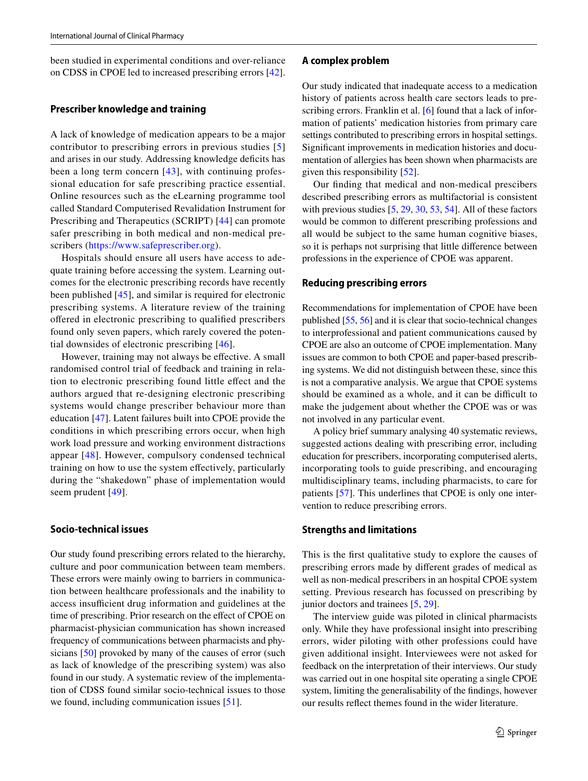been studied in experimental conditions and over-reliance on CDSS in CPOE led to increased prescribing errors [\[42](#page-9-15)].

#### **Prescriber knowledge and training**

A lack of knowledge of medication appears to be a major contributor to prescribing errors in previous studies [[5\]](#page-8-4) and arises in our study. Addressing knowledge deficits has been a long term concern [[43\]](#page-9-16), with continuing professional education for safe prescribing practice essential. Online resources such as the eLearning programme tool called Standard Computerised Revalidation Instrument for Prescribing and Therapeutics (SCRIPT) [[44](#page-9-17)] can promote safer prescribing in both medical and non-medical prescribers ([https://www.safeprescriber.org\)](https://www.safeprescriber.org).

Hospitals should ensure all users have access to adequate training before accessing the system. Learning outcomes for the electronic prescribing records have recently been published [[45\]](#page-9-18), and similar is required for electronic prescribing systems. A literature review of the training ofered in electronic prescribing to qualifed prescribers found only seven papers, which rarely covered the potential downsides of electronic prescribing [[46](#page-9-19)].

However, training may not always be efective. A small randomised control trial of feedback and training in relation to electronic prescribing found little efect and the authors argued that re-designing electronic prescribing systems would change prescriber behaviour more than education [\[47\]](#page-9-20). Latent failures built into CPOE provide the conditions in which prescribing errors occur, when high work load pressure and working environment distractions appear [[48\]](#page-9-21). However, compulsory condensed technical training on how to use the system efectively, particularly during the "shakedown" phase of implementation would seem prudent [[49](#page-9-22)].

#### **Socio‑technical issues**

Our study found prescribing errors related to the hierarchy, culture and poor communication between team members. These errors were mainly owing to barriers in communication between healthcare professionals and the inability to access insufficient drug information and guidelines at the time of prescribing. Prior research on the effect of CPOE on pharmacist-physician communication has shown increased frequency of communications between pharmacists and phy-sicians [[50\]](#page-9-23) provoked by many of the causes of error (such as lack of knowledge of the prescribing system) was also found in our study. A systematic review of the implementation of CDSS found similar socio-technical issues to those we found, including communication issues [\[51](#page-9-24)].

#### **A complex problem**

Our study indicated that inadequate access to a medication history of patients across health care sectors leads to pre-scribing errors. Franklin et al. [[6\]](#page-8-19) found that a lack of information of patients' medication histories from primary care settings contributed to prescribing errors in hospital settings. Signifcant improvements in medication histories and documentation of allergies has been shown when pharmacists are given this responsibility [[52\]](#page-9-25).

Our fnding that medical and non-medical prescibers described prescribing errors as multifactorial is consistent with previous studies [\[5](#page-8-4), [29](#page-9-9), [30,](#page-9-3) [53,](#page-9-26) [54](#page-9-27)]. All of these factors would be common to diferent prescribing professions and all would be subject to the same human cognitive biases, so it is perhaps not surprising that little diference between professions in the experience of CPOE was apparent.

#### **Reducing prescribing errors**

Recommendations for implementation of CPOE have been published [\[55,](#page-9-28) [56](#page-9-29)] and it is clear that socio-technical changes to interprofessional and patient communications caused by CPOE are also an outcome of CPOE implementation. Many issues are common to both CPOE and paper-based prescribing systems. We did not distinguish between these, since this is not a comparative analysis. We argue that CPOE systems should be examined as a whole, and it can be difficult to make the judgement about whether the CPOE was or was not involved in any particular event.

A policy brief summary analysing 40 systematic reviews, suggested actions dealing with prescribing error, including education for prescribers, incorporating computerised alerts, incorporating tools to guide prescribing, and encouraging multidisciplinary teams, including pharmacists, to care for patients [[57\]](#page-9-30). This underlines that CPOE is only one intervention to reduce prescribing errors.

#### **Strengths and limitations**

This is the frst qualitative study to explore the causes of prescribing errors made by diferent grades of medical as well as non-medical prescribers in an hospital CPOE system setting. Previous research has focussed on prescribing by junior doctors and trainees [\[5](#page-8-4), [29](#page-9-9)].

The interview guide was piloted in clinical pharmacists only. While they have professional insight into prescribing errors, wider piloting with other professions could have given additional insight. Interviewees were not asked for feedback on the interpretation of their interviews. Our study was carried out in one hospital site operating a single CPOE system, limiting the generalisability of the fndings, however our results refect themes found in the wider literature.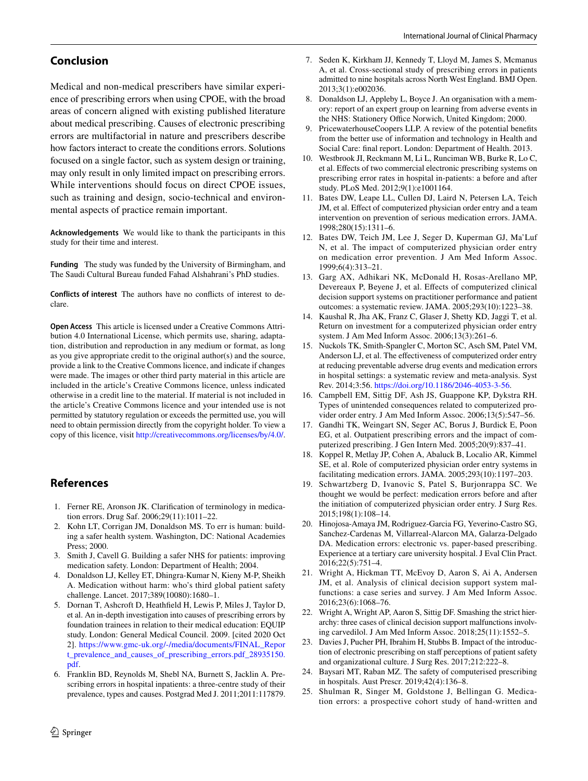## **Conclusion**

Medical and non-medical prescribers have similar experience of prescribing errors when using CPOE, with the broad areas of concern aligned with existing published literature about medical prescribing. Causes of electronic prescribing errors are multifactorial in nature and prescribers describe how factors interact to create the conditions errors. Solutions focused on a single factor, such as system design or training, may only result in only limited impact on prescribing errors. While interventions should focus on direct CPOE issues, such as training and design, socio-technical and environmental aspects of practice remain important.

**Acknowledgements** We would like to thank the participants in this study for their time and interest.

**Funding** The study was funded by the University of Birmingham, and The Saudi Cultural Bureau funded Fahad Alshahrani's PhD studies.

**Conflicts of interest** The authors have no conficts of interest to declare.

**Open Access** This article is licensed under a Creative Commons Attribution 4.0 International License, which permits use, sharing, adaptation, distribution and reproduction in any medium or format, as long as you give appropriate credit to the original author(s) and the source, provide a link to the Creative Commons licence, and indicate if changes were made. The images or other third party material in this article are included in the article's Creative Commons licence, unless indicated otherwise in a credit line to the material. If material is not included in the article's Creative Commons licence and your intended use is not permitted by statutory regulation or exceeds the permitted use, you will need to obtain permission directly from the copyright holder. To view a copy of this licence, visit <http://creativecommons.org/licenses/by/4.0/>.

### **References**

- <span id="page-8-0"></span>1. Ferner RE, Aronson JK. Clarifcation of terminology in medication errors. Drug Saf. 2006;29(11):1011–22.
- <span id="page-8-1"></span>2. Kohn LT, Corrigan JM, Donaldson MS. To err is human: building a safer health system. Washington, DC: National Academies Press; 2000.
- <span id="page-8-2"></span>3. Smith J, Cavell G. Building a safer NHS for patients: improving medication safety. London: Department of Health; 2004.
- <span id="page-8-3"></span>4. Donaldson LJ, Kelley ET, Dhingra-Kumar N, Kieny M-P, Sheikh A. Medication without harm: who's third global patient safety challenge. Lancet. 2017;389(10080):1680–1.
- <span id="page-8-4"></span>5. Dornan T, Ashcroft D, Heathfeld H, Lewis P, Miles J, Taylor D, et al. An in-depth investigation into causes of prescribing errors by foundation trainees in relation to their medical education: EQUIP study. London: General Medical Council. 2009. [cited 2020 Oct 2]. [https://www.gmc-uk.org/-/media/documents/FINAL\\_Repor](https://www.gmc-uk.org/-/media/documents/FINAL_Report_prevalence_and_causes_of_prescribing_errors.pdf_28935150.pdf) [t\\_prevalence\\_and\\_causes\\_of\\_prescribing\\_errors.pdf\\_28935150.](https://www.gmc-uk.org/-/media/documents/FINAL_Report_prevalence_and_causes_of_prescribing_errors.pdf_28935150.pdf) [pdf](https://www.gmc-uk.org/-/media/documents/FINAL_Report_prevalence_and_causes_of_prescribing_errors.pdf_28935150.pdf).
- <span id="page-8-19"></span>6. Franklin BD, Reynolds M, Shebl NA, Burnett S, Jacklin A. Prescribing errors in hospital inpatients: a three-centre study of their prevalence, types and causes. Postgrad Med J. 2011;2011:117879.
- <span id="page-8-5"></span>7. Seden K, Kirkham JJ, Kennedy T, Lloyd M, James S, Mcmanus A, et al. Cross-sectional study of prescribing errors in patients admitted to nine hospitals across North West England. BMJ Open. 2013;3(1):e002036.
- <span id="page-8-6"></span>8. Donaldson LJ, Appleby L, Boyce J. An organisation with a memory: report of an expert group on learning from adverse events in the NHS: Stationery Office Norwich, United Kingdom; 2000.
- 9. PricewaterhouseCoopers LLP. A review of the potential benefts from the better use of information and technology in Health and Social Care: fnal report. London: Department of Health. 2013.
- <span id="page-8-7"></span>10. Westbrook JI, Reckmann M, Li L, Runciman WB, Burke R, Lo C, et al. Efects of two commercial electronic prescribing systems on prescribing error rates in hospital in-patients: a before and after study. PLoS Med. 2012;9(1):e1001164.
- <span id="page-8-8"></span>11. Bates DW, Leape LL, Cullen DJ, Laird N, Petersen LA, Teich JM, et al. Efect of computerized physician order entry and a team intervention on prevention of serious medication errors. JAMA. 1998;280(15):1311–6.
- 12. Bates DW, Teich JM, Lee J, Seger D, Kuperman GJ, Ma'Luf N, et al. The impact of computerized physician order entry on medication error prevention. J Am Med Inform Assoc. 1999;6(4):313–21.
- 13. Garg AX, Adhikari NK, McDonald H, Rosas-Arellano MP, Devereaux P, Beyene J, et al. Efects of computerized clinical decision support systems on practitioner performance and patient outcomes: a systematic review. JAMA. 2005;293(10):1223–38.
- 14. Kaushal R, Jha AK, Franz C, Glaser J, Shetty KD, Jaggi T, et al. Return on investment for a computerized physician order entry system. J Am Med Inform Assoc. 2006;13(3):261–6.
- <span id="page-8-9"></span>15. Nuckols TK, Smith-Spangler C, Morton SC, Asch SM, Patel VM, Anderson LJ, et al. The effectiveness of computerized order entry at reducing preventable adverse drug events and medication errors in hospital settings: a systematic review and meta-analysis. Syst Rev. 2014;3:56.<https://doi.org/10.1186/2046-4053-3-56>.
- <span id="page-8-10"></span>16. Campbell EM, Sittig DF, Ash JS, Guappone KP, Dykstra RH. Types of unintended consequences related to computerized provider order entry. J Am Med Inform Assoc. 2006;13(5):547–56.
- 17. Gandhi TK, Weingart SN, Seger AC, Borus J, Burdick E, Poon EG, et al. Outpatient prescribing errors and the impact of computerized prescribing. J Gen Intern Med. 2005;20(9):837–41.
- <span id="page-8-11"></span>18. Koppel R, Metlay JP, Cohen A, Abaluck B, Localio AR, Kimmel SE, et al. Role of computerized physician order entry systems in facilitating medication errors. JAMA. 2005;293(10):1197–203.
- <span id="page-8-12"></span>19. Schwartzberg D, Ivanovic S, Patel S, Burjonrappa SC. We thought we would be perfect: medication errors before and after the initiation of computerized physician order entry. J Surg Res. 2015;198(1):108–14.
- <span id="page-8-13"></span>20. Hinojosa-Amaya JM, Rodriguez-Garcia FG, Yeverino-Castro SG, Sanchez-Cardenas M, Villarreal-Alarcon MA, Galarza-Delgado DA. Medication errors: electronic vs. paper-based prescribing. Experience at a tertiary care university hospital. J Eval Clin Pract. 2016;22(5):751–4.
- <span id="page-8-14"></span>21. Wright A, Hickman TT, McEvoy D, Aaron S, Ai A, Andersen JM, et al. Analysis of clinical decision support system malfunctions: a case series and survey. J Am Med Inform Assoc. 2016;23(6):1068–76.
- <span id="page-8-15"></span>22. Wright A, Wright AP, Aaron S, Sittig DF. Smashing the strict hierarchy: three cases of clinical decision support malfunctions involving carvedilol. J Am Med Inform Assoc. 2018;25(11):1552–5.
- <span id="page-8-16"></span>23. Davies J, Pucher PH, Ibrahim H, Stubbs B. Impact of the introduction of electronic prescribing on staff perceptions of patient safety and organizational culture. J Surg Res. 2017;212:222–8.
- <span id="page-8-17"></span>24. Baysari MT, Raban MZ. The safety of computerised prescribing in hospitals. Aust Prescr. 2019;42(4):136–8.
- <span id="page-8-18"></span>25. Shulman R, Singer M, Goldstone J, Bellingan G. Medication errors: a prospective cohort study of hand-written and